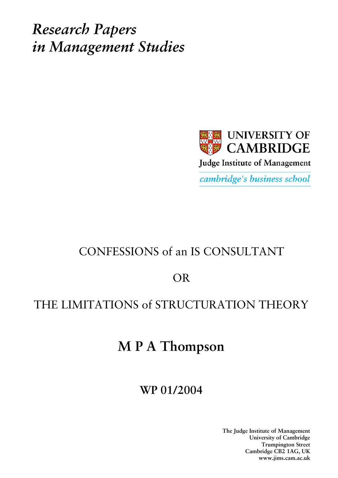*Research Papers in Management Studies*



# CONFESSIONS of an IS CONSULTANT

OR

## THE LIMITATIONS of STRUCTURATION THEORY

# **M P A Thompson**

## **WP 01/2004**

**The Judge Institute of Management University of Cambridge Trumpington Street Cambridge CB2 1AG, UK www.jims.cam.ac.uk**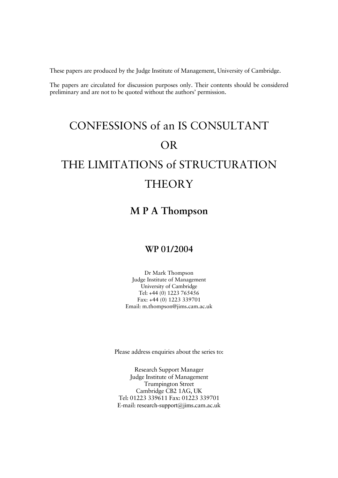These papers are produced by the Judge Institute of Management, University of Cambridge.

The papers are circulated for discussion purposes only. Their contents should be considered preliminary and are not to be quoted without the authors' permission.

# CONFESSIONS of an IS CONSULTANT OR THE LIMITATIONS of STRUCTURATION

## **THEORY**

### **M P A Thompson**

#### **WP 01/2004**

Dr Mark Thompson Judge Institute of Management University of Cambridge Tel: +44 (0) 1223 765456 Fax: +44 (0) 1223 339701 Email: m.thompson@jims.cam.ac.uk

Please address enquiries about the series to:

Research Support Manager Judge Institute of Management Trumpington Street Cambridge CB2 1AG, UK Tel: 01223 339611 Fax: 01223 339701 E-mail: research-support@jims.cam.ac.uk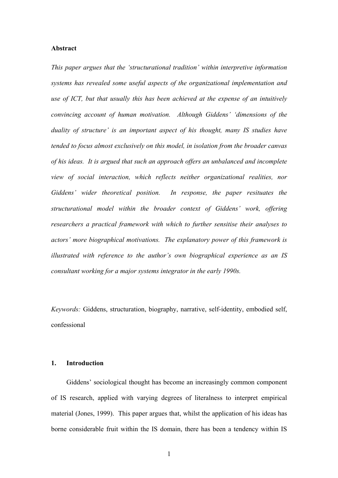#### **Abstract**

*This paper argues that the 'structurational tradition' within interpretive information systems has revealed some useful aspects of the organizational implementation and use of ICT, but that usually this has been achieved at the expense of an intuitively convincing account of human motivation. Although Giddens' 'dimensions of the duality of structure' is an important aspect of his thought, many IS studies have tended to focus almost exclusively on this model, in isolation from the broader canvas of his ideas. It is argued that such an approach offers an unbalanced and incomplete view of social interaction, which reflects neither organizational realities, nor Giddens' wider theoretical position. In response, the paper resituates the structurational model within the broader context of Giddens' work, offering researchers a practical framework with which to further sensitise their analyses to actors' more biographical motivations. The explanatory power of this framework is illustrated with reference to the author's own biographical experience as an IS consultant working for a major systems integrator in the early 1990s.* 

*Keywords:* Giddens, structuration, biography, narrative, self-identity, embodied self, confessional

#### **1. Introduction**

Giddens' sociological thought has become an increasingly common component of IS research, applied with varying degrees of literalness to interpret empirical material (Jones, 1999). This paper argues that, whilst the application of his ideas has borne considerable fruit within the IS domain, there has been a tendency within IS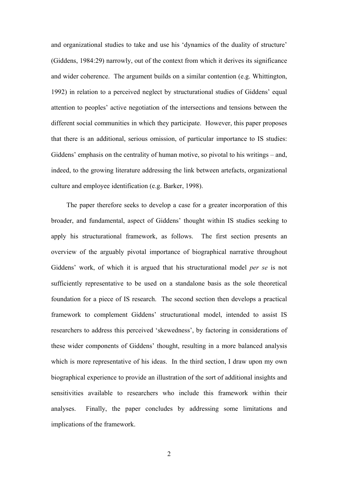and organizational studies to take and use his 'dynamics of the duality of structure' (Giddens, 1984:29) narrowly, out of the context from which it derives its significance and wider coherence. The argument builds on a similar contention (e.g. Whittington, 1992) in relation to a perceived neglect by structurational studies of Giddens' equal attention to peoples' active negotiation of the intersections and tensions between the different social communities in which they participate. However, this paper proposes that there is an additional, serious omission, of particular importance to IS studies: Giddens' emphasis on the centrality of human motive, so pivotal to his writings – and, indeed, to the growing literature addressing the link between artefacts, organizational culture and employee identification (e.g. Barker, 1998).

The paper therefore seeks to develop a case for a greater incorporation of this broader, and fundamental, aspect of Giddens' thought within IS studies seeking to apply his structurational framework, as follows. The first section presents an overview of the arguably pivotal importance of biographical narrative throughout Giddens' work, of which it is argued that his structurational model *per se* is not sufficiently representative to be used on a standalone basis as the sole theoretical foundation for a piece of IS research. The second section then develops a practical framework to complement Giddens' structurational model, intended to assist IS researchers to address this perceived 'skewedness', by factoring in considerations of these wider components of Giddens' thought, resulting in a more balanced analysis which is more representative of his ideas. In the third section, I draw upon my own biographical experience to provide an illustration of the sort of additional insights and sensitivities available to researchers who include this framework within their analyses. Finally, the paper concludes by addressing some limitations and implications of the framework.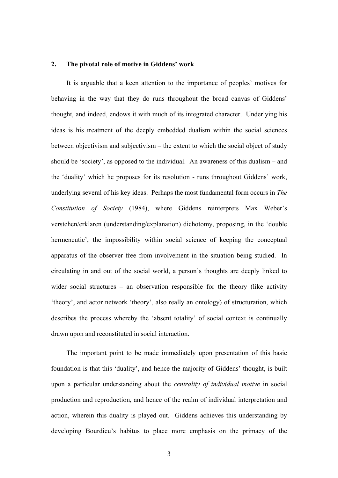#### **2. The pivotal role of motive in Giddens' work**

It is arguable that a keen attention to the importance of peoples' motives for behaving in the way that they do runs throughout the broad canvas of Giddens' thought, and indeed, endows it with much of its integrated character. Underlying his ideas is his treatment of the deeply embedded dualism within the social sciences between objectivism and subjectivism – the extent to which the social object of study should be 'society', as opposed to the individual. An awareness of this dualism – and the 'duality' which he proposes for its resolution - runs throughout Giddens' work, underlying several of his key ideas. Perhaps the most fundamental form occurs in *The Constitution of Society* (1984), where Giddens reinterprets Max Weber's verstehen/erklaren (understanding/explanation) dichotomy, proposing, in the 'double hermeneutic', the impossibility within social science of keeping the conceptual apparatus of the observer free from involvement in the situation being studied. In circulating in and out of the social world, a person's thoughts are deeply linked to wider social structures – an observation responsible for the theory (like activity 'theory', and actor network 'theory', also really an ontology) of structuration, which describes the process whereby the 'absent totality' of social context is continually drawn upon and reconstituted in social interaction.

The important point to be made immediately upon presentation of this basic foundation is that this 'duality', and hence the majority of Giddens' thought, is built upon a particular understanding about the *centrality of individual motive* in social production and reproduction, and hence of the realm of individual interpretation and action, wherein this duality is played out. Giddens achieves this understanding by developing Bourdieu's habitus to place more emphasis on the primacy of the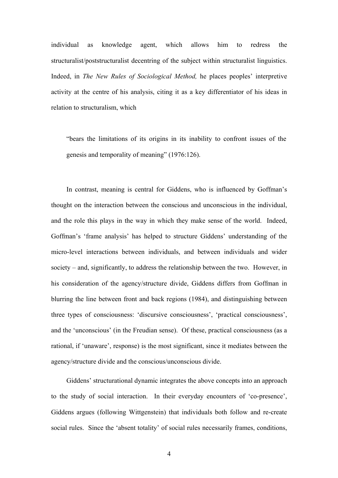individual as knowledge agent, which allows him to redress the structuralist/poststructuralist decentring of the subject within structuralist linguistics. Indeed, in *The New Rules of Sociological Method,* he places peoples' interpretive activity at the centre of his analysis, citing it as a key differentiator of his ideas in relation to structuralism, which

"bears the limitations of its origins in its inability to confront issues of the genesis and temporality of meaning" (1976:126).

In contrast, meaning is central for Giddens, who is influenced by Goffman's thought on the interaction between the conscious and unconscious in the individual, and the role this plays in the way in which they make sense of the world. Indeed, Goffman's 'frame analysis' has helped to structure Giddens' understanding of the micro-level interactions between individuals, and between individuals and wider society – and, significantly, to address the relationship between the two. However, in his consideration of the agency/structure divide, Giddens differs from Goffman in blurring the line between front and back regions (1984), and distinguishing between three types of consciousness: 'discursive consciousness', 'practical consciousness', and the 'unconscious' (in the Freudian sense). Of these, practical consciousness (as a rational, if 'unaware', response) is the most significant, since it mediates between the agency/structure divide and the conscious/unconscious divide.

Giddens' structurational dynamic integrates the above concepts into an approach to the study of social interaction. In their everyday encounters of 'co-presence', Giddens argues (following Wittgenstein) that individuals both follow and re-create social rules. Since the 'absent totality' of social rules necessarily frames, conditions,

4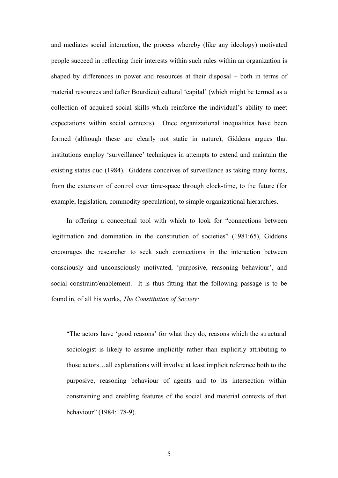and mediates social interaction, the process whereby (like any ideology) motivated people succeed in reflecting their interests within such rules within an organization is shaped by differences in power and resources at their disposal – both in terms of material resources and (after Bourdieu) cultural 'capital' (which might be termed as a collection of acquired social skills which reinforce the individual's ability to meet expectations within social contexts). Once organizational inequalities have been formed (although these are clearly not static in nature), Giddens argues that institutions employ 'surveillance' techniques in attempts to extend and maintain the existing status quo (1984). Giddens conceives of surveillance as taking many forms, from the extension of control over time-space through clock-time, to the future (for example, legislation, commodity speculation), to simple organizational hierarchies.

In offering a conceptual tool with which to look for "connections between legitimation and domination in the constitution of societies" (1981:65), Giddens encourages the researcher to seek such connections in the interaction between consciously and unconsciously motivated, 'purposive, reasoning behaviour', and social constraint/enablement. It is thus fitting that the following passage is to be found in, of all his works, *The Constitution of Society:* 

"The actors have 'good reasons' for what they do, reasons which the structural sociologist is likely to assume implicitly rather than explicitly attributing to those actors…all explanations will involve at least implicit reference both to the purposive, reasoning behaviour of agents and to its intersection within constraining and enabling features of the social and material contexts of that behaviour" (1984:178-9).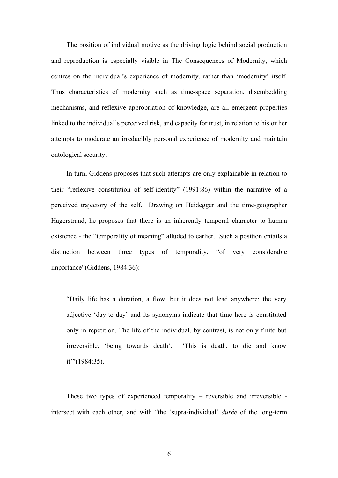The position of individual motive as the driving logic behind social production and reproduction is especially visible in The Consequences of Modernity, which centres on the individual's experience of modernity, rather than 'modernity' itself. Thus characteristics of modernity such as time-space separation, disembedding mechanisms, and reflexive appropriation of knowledge, are all emergent properties linked to the individual's perceived risk, and capacity for trust, in relation to his or her attempts to moderate an irreducibly personal experience of modernity and maintain ontological security.

In turn, Giddens proposes that such attempts are only explainable in relation to their "reflexive constitution of self-identity" (1991:86) within the narrative of a perceived trajectory of the self. Drawing on Heidegger and the time-geographer Hagerstrand, he proposes that there is an inherently temporal character to human existence - the "temporality of meaning" alluded to earlier. Such a position entails a distinction between three types of temporality, "of very considerable importance"(Giddens, 1984:36):

"Daily life has a duration, a flow, but it does not lead anywhere; the very adjective 'day-to-day' and its synonyms indicate that time here is constituted only in repetition. The life of the individual, by contrast, is not only finite but irreversible, 'being towards death'. 'This is death, to die and know it'"(1984:35).

These two types of experienced temporality – reversible and irreversible intersect with each other, and with "the 'supra-individual' *durée* of the long-term

6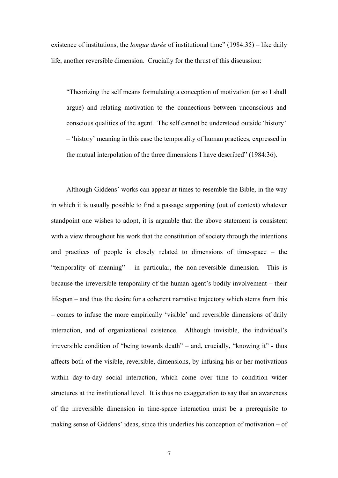existence of institutions, the *longue durée* of institutional time" (1984:35) – like daily life, another reversible dimension. Crucially for the thrust of this discussion:

"Theorizing the self means formulating a conception of motivation (or so I shall argue) and relating motivation to the connections between unconscious and conscious qualities of the agent. The self cannot be understood outside 'history' – 'history' meaning in this case the temporality of human practices, expressed in the mutual interpolation of the three dimensions I have described" (1984:36).

Although Giddens' works can appear at times to resemble the Bible, in the way in which it is usually possible to find a passage supporting (out of context) whatever standpoint one wishes to adopt, it is arguable that the above statement is consistent with a view throughout his work that the constitution of society through the intentions and practices of people is closely related to dimensions of time-space – the "temporality of meaning" - in particular, the non-reversible dimension. This is because the irreversible temporality of the human agent's bodily involvement – their lifespan – and thus the desire for a coherent narrative trajectory which stems from this – comes to infuse the more empirically 'visible' and reversible dimensions of daily interaction, and of organizational existence. Although invisible, the individual's irreversible condition of "being towards death" – and, crucially, "knowing it" - thus affects both of the visible, reversible, dimensions, by infusing his or her motivations within day-to-day social interaction, which come over time to condition wider structures at the institutional level. It is thus no exaggeration to say that an awareness of the irreversible dimension in time-space interaction must be a prerequisite to making sense of Giddens' ideas, since this underlies his conception of motivation – of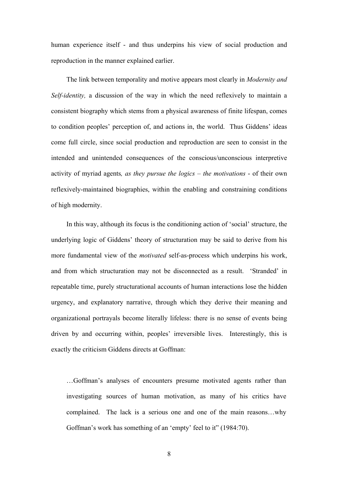human experience itself - and thus underpins his view of social production and reproduction in the manner explained earlier.

The link between temporality and motive appears most clearly in *Modernity and Self-identity,* a discussion of the way in which the need reflexively to maintain a consistent biography which stems from a physical awareness of finite lifespan, comes to condition peoples' perception of, and actions in, the world. Thus Giddens' ideas come full circle, since social production and reproduction are seen to consist in the intended and unintended consequences of the conscious/unconscious interpretive activity of myriad agents*, as they pursue the logics – the motivations* - of their own reflexively-maintained biographies, within the enabling and constraining conditions of high modernity.

In this way, although its focus is the conditioning action of 'social' structure, the underlying logic of Giddens' theory of structuration may be said to derive from his more fundamental view of the *motivated* self-as-process which underpins his work, and from which structuration may not be disconnected as a result. 'Stranded' in repeatable time, purely structurational accounts of human interactions lose the hidden urgency, and explanatory narrative, through which they derive their meaning and organizational portrayals become literally lifeless: there is no sense of events being driven by and occurring within, peoples' irreversible lives. Interestingly, this is exactly the criticism Giddens directs at Goffman:

…Goffman's analyses of encounters presume motivated agents rather than investigating sources of human motivation, as many of his critics have complained. The lack is a serious one and one of the main reasons…why Goffman's work has something of an 'empty' feel to it" (1984:70).

8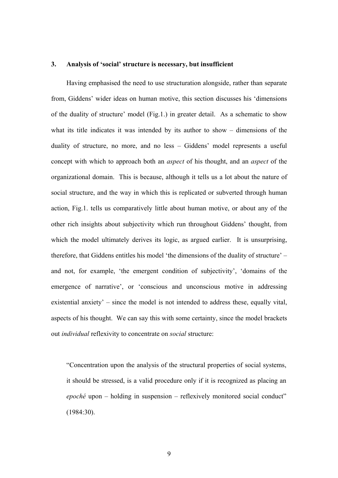#### **3. Analysis of 'social' structure is necessary, but insufficient**

Having emphasised the need to use structuration alongside, rather than separate from, Giddens' wider ideas on human motive, this section discusses his 'dimensions of the duality of structure' model (Fig.1.) in greater detail. As a schematic to show what its title indicates it was intended by its author to show – dimensions of the duality of structure, no more, and no less – Giddens' model represents a useful concept with which to approach both an *aspect* of his thought, and an *aspect* of the organizational domain. This is because, although it tells us a lot about the nature of social structure, and the way in which this is replicated or subverted through human action, Fig.1. tells us comparatively little about human motive, or about any of the other rich insights about subjectivity which run throughout Giddens' thought, from which the model ultimately derives its logic, as argued earlier. It is unsurprising, therefore, that Giddens entitles his model 'the dimensions of the duality of structure' – and not, for example, 'the emergent condition of subjectivity', 'domains of the emergence of narrative', or 'conscious and unconscious motive in addressing existential anxiety' – since the model is not intended to address these, equally vital, aspects of his thought. We can say this with some certainty, since the model brackets out *individual* reflexivity to concentrate on *social* structure:

"Concentration upon the analysis of the structural properties of social systems, it should be stressed, is a valid procedure only if it is recognized as placing an *epoché* upon – holding in suspension – reflexively monitored social conduct" (1984:30).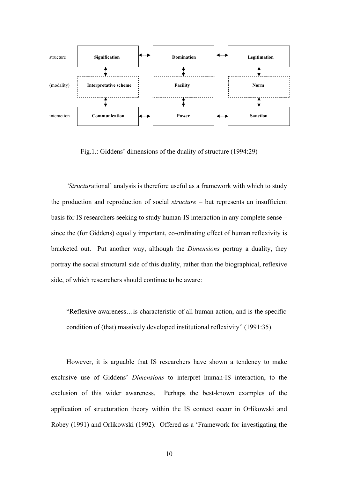

Fig.1.: Giddens' dimensions of the duality of structure (1994:29)

*'Structur*ational' analysis is therefore useful as a framework with which to study the production and reproduction of social *structure* – but represents an insufficient basis for IS researchers seeking to study human-IS interaction in any complete sense – since the (for Giddens) equally important, co-ordinating effect of human reflexivity is bracketed out. Put another way, although the *Dimensions* portray a duality, they portray the social structural side of this duality, rather than the biographical, reflexive side, of which researchers should continue to be aware:

"Reflexive awareness…is characteristic of all human action, and is the specific condition of (that) massively developed institutional reflexivity" (1991:35).

However, it is arguable that IS researchers have shown a tendency to make exclusive use of Giddens' *Dimensions* to interpret human-IS interaction, to the exclusion of this wider awareness. Perhaps the best-known examples of the application of structuration theory within the IS context occur in Orlikowski and Robey (1991) and Orlikowski (1992). Offered as a 'Framework for investigating the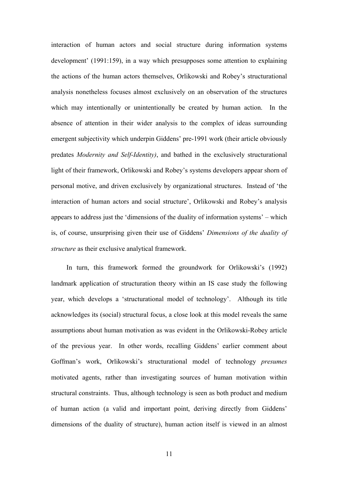interaction of human actors and social structure during information systems development' (1991:159), in a way which presupposes some attention to explaining the actions of the human actors themselves, Orlikowski and Robey's structurational analysis nonetheless focuses almost exclusively on an observation of the structures which may intentionally or unintentionally be created by human action. In the absence of attention in their wider analysis to the complex of ideas surrounding emergent subjectivity which underpin Giddens' pre-1991 work (their article obviously predates *Modernity and Self-Identity)*, and bathed in the exclusively structurational light of their framework, Orlikowski and Robey's systems developers appear shorn of personal motive, and driven exclusively by organizational structures. Instead of 'the interaction of human actors and social structure', Orlikowski and Robey's analysis appears to address just the 'dimensions of the duality of information systems' – which is, of course, unsurprising given their use of Giddens' *Dimensions of the duality of structure* as their exclusive analytical framework.

In turn, this framework formed the groundwork for Orlikowski's (1992) landmark application of structuration theory within an IS case study the following year, which develops a 'structurational model of technology'. Although its title acknowledges its (social) structural focus, a close look at this model reveals the same assumptions about human motivation as was evident in the Orlikowski-Robey article of the previous year. In other words, recalling Giddens' earlier comment about Goffman's work, Orlikowski's structurational model of technology *presumes*  motivated agents, rather than investigating sources of human motivation within structural constraints. Thus, although technology is seen as both product and medium of human action (a valid and important point, deriving directly from Giddens' dimensions of the duality of structure), human action itself is viewed in an almost

11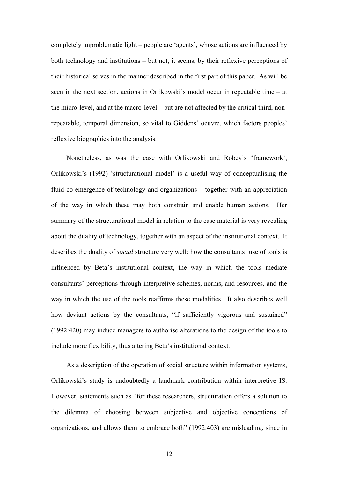completely unproblematic light – people are 'agents', whose actions are influenced by both technology and institutions – but not, it seems, by their reflexive perceptions of their historical selves in the manner described in the first part of this paper. As will be seen in the next section, actions in Orlikowski's model occur in repeatable time – at the micro-level, and at the macro-level – but are not affected by the critical third, nonrepeatable, temporal dimension, so vital to Giddens' oeuvre, which factors peoples' reflexive biographies into the analysis.

Nonetheless, as was the case with Orlikowski and Robey's 'framework', Orlikowski's (1992) 'structurational model' is a useful way of conceptualising the fluid co-emergence of technology and organizations – together with an appreciation of the way in which these may both constrain and enable human actions. Her summary of the structurational model in relation to the case material is very revealing about the duality of technology, together with an aspect of the institutional context. It describes the duality of *social* structure very well: how the consultants' use of tools is influenced by Beta's institutional context, the way in which the tools mediate consultants' perceptions through interpretive schemes, norms, and resources, and the way in which the use of the tools reaffirms these modalities. It also describes well how deviant actions by the consultants, "if sufficiently vigorous and sustained" (1992:420) may induce managers to authorise alterations to the design of the tools to include more flexibility, thus altering Beta's institutional context.

As a description of the operation of social structure within information systems, Orlikowski's study is undoubtedly a landmark contribution within interpretive IS. However, statements such as "for these researchers, structuration offers a solution to the dilemma of choosing between subjective and objective conceptions of organizations, and allows them to embrace both" (1992:403) are misleading, since in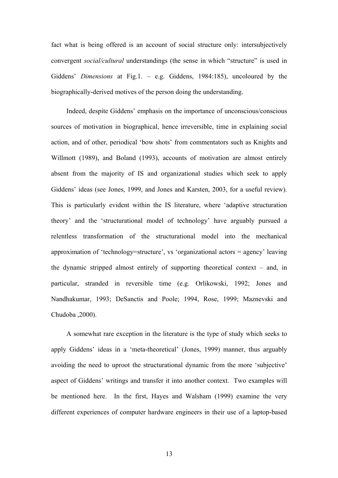fact what is being offered is an account of social structure only: intersubjectively convergent *social/cultural* understandings (the sense in which "structure" is used in Giddens' *Dimensions* at Fig.1. – e.g. Giddens, 1984:185), uncoloured by the biographically-derived motives of the person doing the understanding.

Indeed, despite Giddens' emphasis on the importance of unconscious/conscious sources of motivation in biographical, hence irreversible, time in explaining social action, and of other, periodical 'bow shots' from commentators such as Knights and Willmott (1989), and Boland (1993), accounts of motivation are almost entirely absent from the majority of IS and organizational studies which seek to apply Giddens' ideas (see Jones, 1999, and Jones and Karsten, 2003, for a useful review). This is particularly evident within the IS literature, where 'adaptive structuration theory' and the 'structurational model of technology' have arguably pursued a relentless transformation of the structurational model into the mechanical approximation of 'technology=structure', vs 'organizational actors = agency' leaving the dynamic stripped almost entirely of supporting theoretical context – and, in particular, stranded in reversible time (e.g. Orlikowski, 1992; Jones and Nandhakumar, 1993; DeSanctis and Poole; 1994, Rose, 1999; Maznevski and Chudoba ,2000).

A somewhat rare exception in the literature is the type of study which seeks to apply Giddens' ideas in a 'meta-theoretical' (Jones, 1999) manner, thus arguably avoiding the need to uproot the structurational dynamic from the more 'subjective' aspect of Giddens' writings and transfer it into another context. Two examples will be mentioned here. In the first, Hayes and Walsham (1999) examine the very different experiences of computer hardware engineers in their use of a laptop-based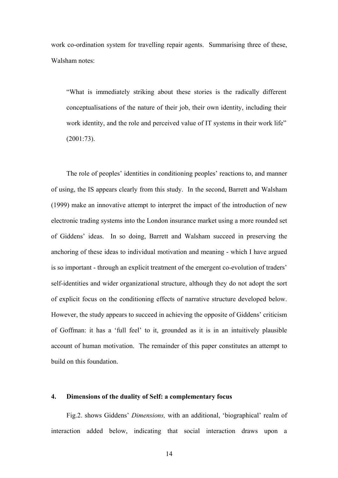work co-ordination system for travelling repair agents. Summarising three of these, Walsham notes:

"What is immediately striking about these stories is the radically different conceptualisations of the nature of their job, their own identity, including their work identity, and the role and perceived value of IT systems in their work life" (2001:73).

The role of peoples' identities in conditioning peoples' reactions to, and manner of using, the IS appears clearly from this study. In the second, Barrett and Walsham (1999) make an innovative attempt to interpret the impact of the introduction of new electronic trading systems into the London insurance market using a more rounded set of Giddens' ideas. In so doing, Barrett and Walsham succeed in preserving the anchoring of these ideas to individual motivation and meaning - which I have argued is so important - through an explicit treatment of the emergent co-evolution of traders' self-identities and wider organizational structure, although they do not adopt the sort of explicit focus on the conditioning effects of narrative structure developed below. However, the study appears to succeed in achieving the opposite of Giddens' criticism of Goffman: it has a 'full feel' to it, grounded as it is in an intuitively plausible account of human motivation. The remainder of this paper constitutes an attempt to build on this foundation.

#### **4. Dimensions of the duality of Self: a complementary focus**

Fig.2. shows Giddens' *Dimensions,* with an additional, 'biographical' realm of interaction added below, indicating that social interaction draws upon a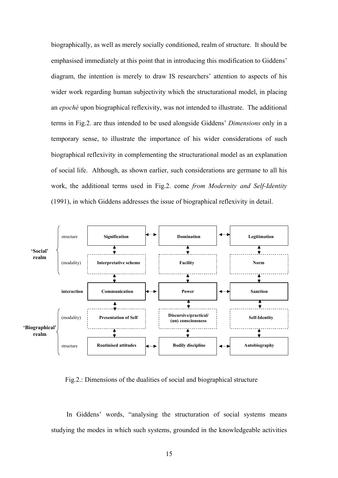biographically, as well as merely socially conditioned, realm of structure. It should be emphasised immediately at this point that in introducing this modification to Giddens' diagram, the intention is merely to draw IS researchers' attention to aspects of his wider work regarding human subjectivity which the structurational model, in placing an *epoché* upon biographical reflexivity, was not intended to illustrate. The additional terms in Fig.2. are thus intended to be used alongside Giddens' *Dimensions* only in a temporary sense, to illustrate the importance of his wider considerations of such biographical reflexivity in complementing the structurational model as an explanation of social life. Although, as shown earlier, such considerations are germane to all his work, the additional terms used in Fig.2. come *from Modernity and Self-Identity* (1991), in which Giddens addresses the issue of biographical reflexivity in detail.



Fig.2.: Dimensions of the dualities of social and biographical structure

In Giddens' words, "analysing the structuration of social systems means studying the modes in which such systems, grounded in the knowledgeable activities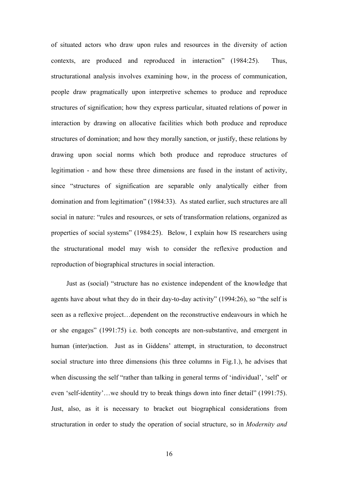of situated actors who draw upon rules and resources in the diversity of action contexts, are produced and reproduced in interaction" (1984:25). Thus, structurational analysis involves examining how, in the process of communication, people draw pragmatically upon interpretive schemes to produce and reproduce structures of signification; how they express particular, situated relations of power in interaction by drawing on allocative facilities which both produce and reproduce structures of domination; and how they morally sanction, or justify, these relations by drawing upon social norms which both produce and reproduce structures of legitimation - and how these three dimensions are fused in the instant of activity, since "structures of signification are separable only analytically either from domination and from legitimation" (1984:33). As stated earlier, such structures are all social in nature: "rules and resources, or sets of transformation relations, organized as properties of social systems" (1984:25). Below, I explain how IS researchers using the structurational model may wish to consider the reflexive production and reproduction of biographical structures in social interaction.

Just as (social) "structure has no existence independent of the knowledge that agents have about what they do in their day-to-day activity" (1994:26), so "the self is seen as a reflexive project…dependent on the reconstructive endeavours in which he or she engages" (1991:75) i.e. both concepts are non-substantive, and emergent in human (inter)action. Just as in Giddens' attempt, in structuration, to deconstruct social structure into three dimensions (his three columns in Fig.1.), he advises that when discussing the self "rather than talking in general terms of 'individual', 'self' or even 'self-identity'…we should try to break things down into finer detail" (1991:75). Just, also, as it is necessary to bracket out biographical considerations from structuration in order to study the operation of social structure, so in *Modernity and*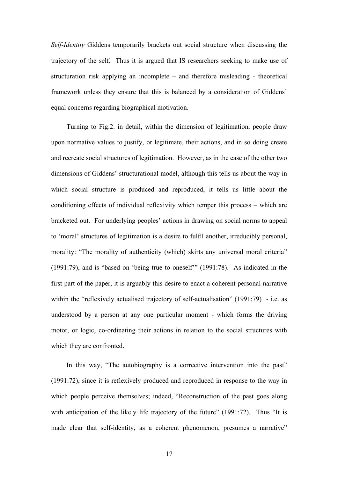*Self-Identity* Giddens temporarily brackets out social structure when discussing the trajectory of the self. Thus it is argued that IS researchers seeking to make use of structuration risk applying an incomplete – and therefore misleading - theoretical framework unless they ensure that this is balanced by a consideration of Giddens' equal concerns regarding biographical motivation.

Turning to Fig.2. in detail, within the dimension of legitimation, people draw upon normative values to justify, or legitimate, their actions, and in so doing create and recreate social structures of legitimation. However, as in the case of the other two dimensions of Giddens' structurational model, although this tells us about the way in which social structure is produced and reproduced, it tells us little about the conditioning effects of individual reflexivity which temper this process – which are bracketed out. For underlying peoples' actions in drawing on social norms to appeal to 'moral' structures of legitimation is a desire to fulfil another, irreducibly personal, morality: "The morality of authenticity (which) skirts any universal moral criteria" (1991:79), and is "based on 'being true to oneself'" (1991:78). As indicated in the first part of the paper, it is arguably this desire to enact a coherent personal narrative within the "reflexively actualised trajectory of self-actualisation" (1991:79) - i.e. as understood by a person at any one particular moment - which forms the driving motor, or logic, co-ordinating their actions in relation to the social structures with which they are confronted.

In this way, "The autobiography is a corrective intervention into the past" (1991:72), since it is reflexively produced and reproduced in response to the way in which people perceive themselves; indeed, "Reconstruction of the past goes along with anticipation of the likely life trajectory of the future" (1991:72). Thus "It is made clear that self-identity, as a coherent phenomenon, presumes a narrative"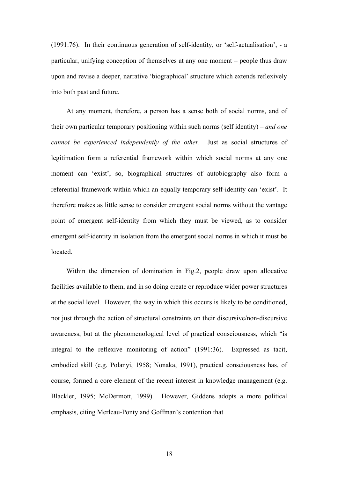(1991:76). In their continuous generation of self-identity, or 'self-actualisation', - a particular, unifying conception of themselves at any one moment – people thus draw upon and revise a deeper, narrative 'biographical' structure which extends reflexively into both past and future.

At any moment, therefore, a person has a sense both of social norms, and of their own particular temporary positioning within such norms (self identity) – *and one cannot be experienced independently of the other.* Just as social structures of legitimation form a referential framework within which social norms at any one moment can 'exist', so, biographical structures of autobiography also form a referential framework within which an equally temporary self-identity can 'exist'. It therefore makes as little sense to consider emergent social norms without the vantage point of emergent self-identity from which they must be viewed, as to consider emergent self-identity in isolation from the emergent social norms in which it must be located.

Within the dimension of domination in Fig.2, people draw upon allocative facilities available to them, and in so doing create or reproduce wider power structures at the social level. However, the way in which this occurs is likely to be conditioned, not just through the action of structural constraints on their discursive/non-discursive awareness, but at the phenomenological level of practical consciousness, which "is integral to the reflexive monitoring of action" (1991:36). Expressed as tacit, embodied skill (e.g. Polanyi, 1958; Nonaka, 1991), practical consciousness has, of course, formed a core element of the recent interest in knowledge management (e.g. Blackler, 1995; McDermott, 1999). However, Giddens adopts a more political emphasis, citing Merleau-Ponty and Goffman's contention that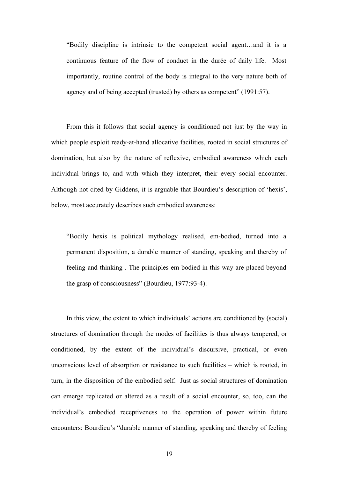"Bodily discipline is intrinsic to the competent social agent…and it is a continuous feature of the flow of conduct in the durée of daily life. Most importantly, routine control of the body is integral to the very nature both of agency and of being accepted (trusted) by others as competent" (1991:57).

From this it follows that social agency is conditioned not just by the way in which people exploit ready-at-hand allocative facilities, rooted in social structures of domination, but also by the nature of reflexive, embodied awareness which each individual brings to, and with which they interpret, their every social encounter. Although not cited by Giddens, it is arguable that Bourdieu's description of 'hexis', below, most accurately describes such embodied awareness:

"Bodily hexis is political mythology realised, em-bodied, turned into a permanent disposition, a durable manner of standing, speaking and thereby of feeling and thinking . The principles em-bodied in this way are placed beyond the grasp of consciousness" (Bourdieu, 1977:93-4).

In this view, the extent to which individuals' actions are conditioned by (social) structures of domination through the modes of facilities is thus always tempered, or conditioned, by the extent of the individual's discursive, practical, or even unconscious level of absorption or resistance to such facilities – which is rooted, in turn, in the disposition of the embodied self. Just as social structures of domination can emerge replicated or altered as a result of a social encounter, so, too, can the individual's embodied receptiveness to the operation of power within future encounters: Bourdieu's "durable manner of standing, speaking and thereby of feeling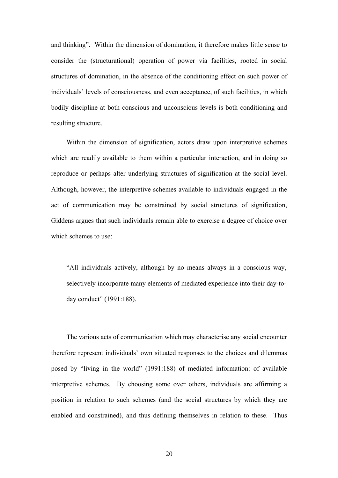and thinking". Within the dimension of domination, it therefore makes little sense to consider the (structurational) operation of power via facilities, rooted in social structures of domination, in the absence of the conditioning effect on such power of individuals' levels of consciousness, and even acceptance, of such facilities, in which bodily discipline at both conscious and unconscious levels is both conditioning and resulting structure.

Within the dimension of signification, actors draw upon interpretive schemes which are readily available to them within a particular interaction, and in doing so reproduce or perhaps alter underlying structures of signification at the social level. Although, however, the interpretive schemes available to individuals engaged in the act of communication may be constrained by social structures of signification, Giddens argues that such individuals remain able to exercise a degree of choice over which schemes to use:

"All individuals actively, although by no means always in a conscious way, selectively incorporate many elements of mediated experience into their day-today conduct" (1991:188).

The various acts of communication which may characterise any social encounter therefore represent individuals' own situated responses to the choices and dilemmas posed by "living in the world" (1991:188) of mediated information: of available interpretive schemes. By choosing some over others, individuals are affirming a position in relation to such schemes (and the social structures by which they are enabled and constrained), and thus defining themselves in relation to these. Thus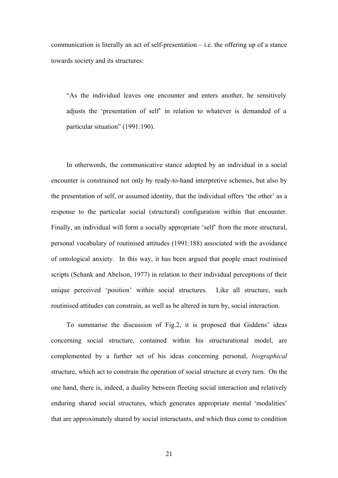communication is literally an act of self-presentation  $-$  i.e. the offering up of a stance towards society and its structures:

"As the individual leaves one encounter and enters another, he sensitively adjusts the 'presentation of self' in relation to whatever is demanded of a particular situation" (1991:190).

In otherwords, the communicative stance adopted by an individual in a social encounter is constrained not only by ready-to-hand interpretive schemes, but also by the presentation of self, or assumed identity, that the individual offers 'the other' as a response to the particular social (structural) configuration within that encounter. Finally, an individual will form a socially appropriate 'self' from the more structural, personal vocabulary of routinised attitudes (1991:188) associated with the avoidance of ontological anxiety. In this way, it has been argued that people enact routinised scripts (Schank and Abelson, 1977) in relation to their individual perceptions of their unique perceived 'position' within social structures. Like all structure, such routinised attitudes can constrain, as well as be altered in turn by, social interaction.

To summarise the discussion of Fig.2, it is proposed that Giddens' ideas concerning social structure, contained within his structurational model, are complemented by a further set of his ideas concerning personal, *biographical*  structure, which act to constrain the operation of social structure at every turn. On the one hand, there is, indeed, a duality between fleeting social interaction and relatively enduring shared social structures, which generates appropriate mental 'modalities' that are approximately shared by social interactants, and which thus come to condition

21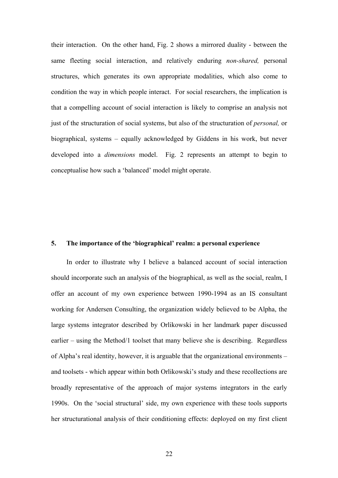their interaction. On the other hand, Fig. 2 shows a mirrored duality - between the same fleeting social interaction, and relatively enduring *non-shared,* personal structures, which generates its own appropriate modalities, which also come to condition the way in which people interact. For social researchers, the implication is that a compelling account of social interaction is likely to comprise an analysis not just of the structuration of social systems, but also of the structuration of *personal,* or biographical, systems – equally acknowledged by Giddens in his work, but never developed into a *dimensions* model. Fig. 2 represents an attempt to begin to conceptualise how such a 'balanced' model might operate.

#### **5. The importance of the 'biographical' realm: a personal experience**

In order to illustrate why I believe a balanced account of social interaction should incorporate such an analysis of the biographical, as well as the social, realm, I offer an account of my own experience between 1990-1994 as an IS consultant working for Andersen Consulting, the organization widely believed to be Alpha, the large systems integrator described by Orlikowski in her landmark paper discussed earlier – using the Method/1 toolset that many believe she is describing. Regardless of Alpha's real identity, however, it is arguable that the organizational environments – and toolsets - which appear within both Orlikowski's study and these recollections are broadly representative of the approach of major systems integrators in the early 1990s. On the 'social structural' side, my own experience with these tools supports her structurational analysis of their conditioning effects: deployed on my first client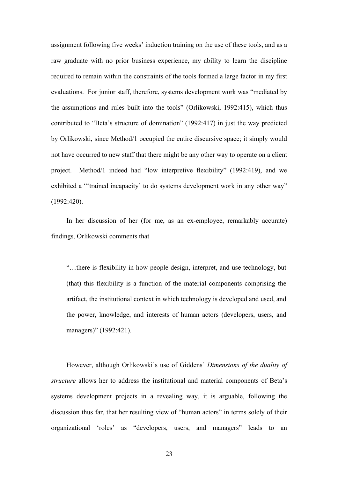assignment following five weeks' induction training on the use of these tools, and as a raw graduate with no prior business experience, my ability to learn the discipline required to remain within the constraints of the tools formed a large factor in my first evaluations. For junior staff, therefore, systems development work was "mediated by the assumptions and rules built into the tools" (Orlikowski, 1992:415), which thus contributed to "Beta's structure of domination" (1992:417) in just the way predicted by Orlikowski, since Method/1 occupied the entire discursive space; it simply would not have occurred to new staff that there might be any other way to operate on a client project. Method/1 indeed had "low interpretive flexibility" (1992:419), and we exhibited a "'trained incapacity' to do systems development work in any other way" (1992:420).

In her discussion of her (for me, as an ex-employee, remarkably accurate) findings, Orlikowski comments that

"…there is flexibility in how people design, interpret, and use technology, but (that) this flexibility is a function of the material components comprising the artifact, the institutional context in which technology is developed and used, and the power, knowledge, and interests of human actors (developers, users, and managers)" (1992:421).

However, although Orlikowski's use of Giddens' *Dimensions of the duality of structure* allows her to address the institutional and material components of Beta's systems development projects in a revealing way, it is arguable, following the discussion thus far, that her resulting view of "human actors" in terms solely of their organizational 'roles' as "developers, users, and managers" leads to an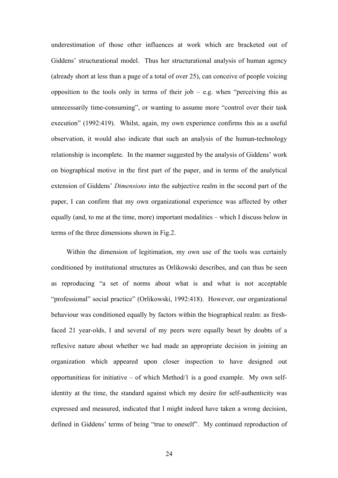underestimation of those other influences at work which are bracketed out of Giddens' structurational model. Thus her structurational analysis of human agency (already short at less than a page of a total of over 25), can conceive of people voicing opposition to the tools only in terms of their job – e.g. when "perceiving this as unnecessarily time-consuming", or wanting to assume more "control over their task execution" (1992:419). Whilst, again, my own experience confirms this as a useful observation, it would also indicate that such an analysis of the human-technology relationship is incomplete. In the manner suggested by the analysis of Giddens' work on biographical motive in the first part of the paper, and in terms of the analytical extension of Giddens' *Dimensions* into the subjective realm in the second part of the paper, I can confirm that my own organizational experience was affected by other equally (and, to me at the time, more) important modalities – which I discuss below in terms of the three dimensions shown in Fig.2.

Within the dimension of legitimation, my own use of the tools was certainly conditioned by institutional structures as Orlikowski describes, and can thus be seen as reproducing "a set of norms about what is and what is not acceptable "professional" social practice" (Orlikowski, 1992:418). However, our organizational behaviour was conditioned equally by factors within the biographical realm: as freshfaced 21 year-olds, I and several of my peers were equally beset by doubts of a reflexive nature about whether we had made an appropriate decision in joining an organization which appeared upon closer inspection to have designed out opportunitieas for initiative – of which Method/1 is a good example. My own selfidentity at the time, the standard against which my desire for self-authenticity was expressed and measured, indicated that I might indeed have taken a wrong decision, defined in Giddens' terms of being "true to oneself". My continued reproduction of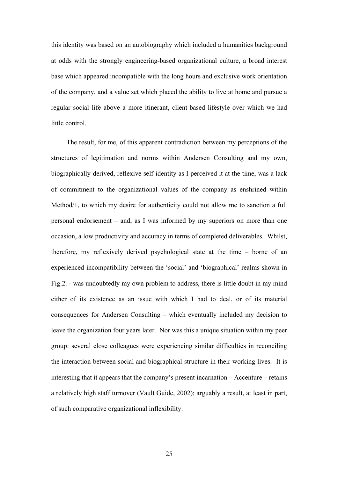this identity was based on an autobiography which included a humanities background at odds with the strongly engineering-based organizational culture, a broad interest base which appeared incompatible with the long hours and exclusive work orientation of the company, and a value set which placed the ability to live at home and pursue a regular social life above a more itinerant, client-based lifestyle over which we had little control.

The result, for me, of this apparent contradiction between my perceptions of the structures of legitimation and norms within Andersen Consulting and my own, biographically-derived, reflexive self-identity as I perceived it at the time, was a lack of commitment to the organizational values of the company as enshrined within Method/1, to which my desire for authenticity could not allow me to sanction a full personal endorsement – and, as I was informed by my superiors on more than one occasion, a low productivity and accuracy in terms of completed deliverables. Whilst, therefore, my reflexively derived psychological state at the time – borne of an experienced incompatibility between the 'social' and 'biographical' realms shown in Fig.2. - was undoubtedly my own problem to address, there is little doubt in my mind either of its existence as an issue with which I had to deal, or of its material consequences for Andersen Consulting – which eventually included my decision to leave the organization four years later. Nor was this a unique situation within my peer group: several close colleagues were experiencing similar difficulties in reconciling the interaction between social and biographical structure in their working lives. It is interesting that it appears that the company's present incarnation – Accenture – retains a relatively high staff turnover (Vault Guide, 2002); arguably a result, at least in part, of such comparative organizational inflexibility.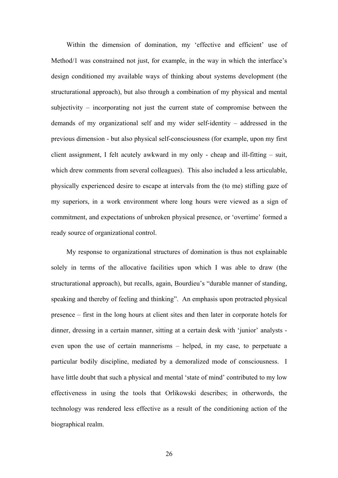Within the dimension of domination, my 'effective and efficient' use of Method/1 was constrained not just, for example, in the way in which the interface's design conditioned my available ways of thinking about systems development (the structurational approach), but also through a combination of my physical and mental subjectivity – incorporating not just the current state of compromise between the demands of my organizational self and my wider self-identity – addressed in the previous dimension - but also physical self-consciousness (for example, upon my first client assignment, I felt acutely awkward in my only - cheap and ill-fitting – suit, which drew comments from several colleagues). This also included a less articulable, physically experienced desire to escape at intervals from the (to me) stifling gaze of my superiors, in a work environment where long hours were viewed as a sign of commitment, and expectations of unbroken physical presence, or 'overtime' formed a ready source of organizational control.

My response to organizational structures of domination is thus not explainable solely in terms of the allocative facilities upon which I was able to draw (the structurational approach), but recalls, again, Bourdieu's "durable manner of standing, speaking and thereby of feeling and thinking". An emphasis upon protracted physical presence – first in the long hours at client sites and then later in corporate hotels for dinner, dressing in a certain manner, sitting at a certain desk with 'junior' analysts even upon the use of certain mannerisms – helped, in my case, to perpetuate a particular bodily discipline, mediated by a demoralized mode of consciousness. I have little doubt that such a physical and mental 'state of mind' contributed to my low effectiveness in using the tools that Orlikowski describes; in otherwords, the technology was rendered less effective as a result of the conditioning action of the biographical realm.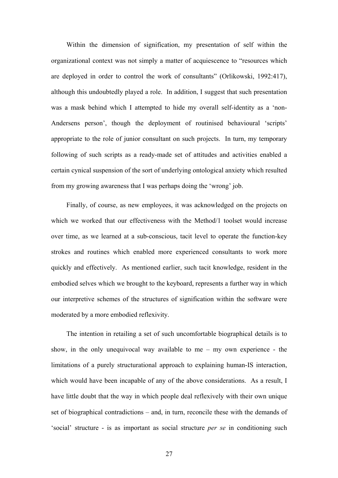Within the dimension of signification, my presentation of self within the organizational context was not simply a matter of acquiescence to "resources which are deployed in order to control the work of consultants" (Orlikowski, 1992:417), although this undoubtedly played a role. In addition, I suggest that such presentation was a mask behind which I attempted to hide my overall self-identity as a 'non-Andersens person', though the deployment of routinised behavioural 'scripts' appropriate to the role of junior consultant on such projects. In turn, my temporary following of such scripts as a ready-made set of attitudes and activities enabled a certain cynical suspension of the sort of underlying ontological anxiety which resulted from my growing awareness that I was perhaps doing the 'wrong' job.

Finally, of course, as new employees, it was acknowledged on the projects on which we worked that our effectiveness with the Method/1 toolset would increase over time, as we learned at a sub-conscious, tacit level to operate the function-key strokes and routines which enabled more experienced consultants to work more quickly and effectively. As mentioned earlier, such tacit knowledge, resident in the embodied selves which we brought to the keyboard, represents a further way in which our interpretive schemes of the structures of signification within the software were moderated by a more embodied reflexivity.

The intention in retailing a set of such uncomfortable biographical details is to show, in the only unequivocal way available to me – my own experience - the limitations of a purely structurational approach to explaining human-IS interaction, which would have been incapable of any of the above considerations. As a result, I have little doubt that the way in which people deal reflexively with their own unique set of biographical contradictions – and, in turn, reconcile these with the demands of 'social' structure - is as important as social structure *per se* in conditioning such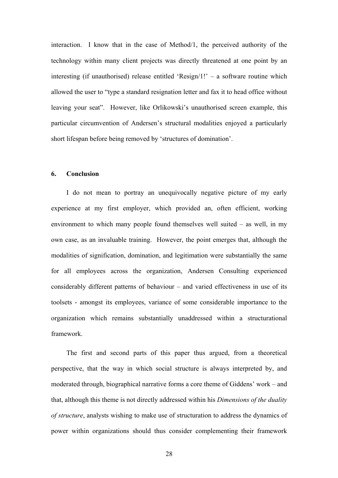interaction. I know that in the case of Method/1, the perceived authority of the technology within many client projects was directly threatened at one point by an interesting (if unauthorised) release entitled 'Resign/1!' – a software routine which allowed the user to "type a standard resignation letter and fax it to head office without leaving your seat". However, like Orlikowski's unauthorised screen example, this particular circumvention of Andersen's structural modalities enjoyed a particularly short lifespan before being removed by 'structures of domination'.

#### **6. Conclusion**

I do not mean to portray an unequivocally negative picture of my early experience at my first employer, which provided an, often efficient, working environment to which many people found themselves well suited – as well, in my own case, as an invaluable training. However, the point emerges that, although the modalities of signification, domination, and legitimation were substantially the same for all employees across the organization, Andersen Consulting experienced considerably different patterns of behaviour – and varied effectiveness in use of its toolsets - amongst its employees, variance of some considerable importance to the organization which remains substantially unaddressed within a structurational framework.

The first and second parts of this paper thus argued, from a theoretical perspective, that the way in which social structure is always interpreted by, and moderated through, biographical narrative forms a core theme of Giddens' work – and that, although this theme is not directly addressed within his *Dimensions of the duality of structure*, analysts wishing to make use of structuration to address the dynamics of power within organizations should thus consider complementing their framework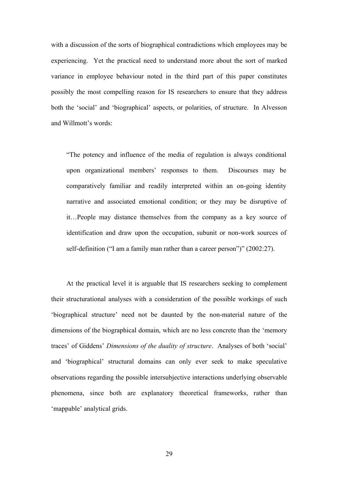with a discussion of the sorts of biographical contradictions which employees may be experiencing. Yet the practical need to understand more about the sort of marked variance in employee behaviour noted in the third part of this paper constitutes possibly the most compelling reason for IS researchers to ensure that they address both the 'social' and 'biographical' aspects, or polarities, of structure. In Alvesson and Willmott's words:

"The potency and influence of the media of regulation is always conditional upon organizational members' responses to them. Discourses may be comparatively familiar and readily interpreted within an on-going identity narrative and associated emotional condition; or they may be disruptive of it…People may distance themselves from the company as a key source of identification and draw upon the occupation, subunit or non-work sources of self-definition ("I am a family man rather than a career person")" (2002:27).

At the practical level it is arguable that IS researchers seeking to complement their structurational analyses with a consideration of the possible workings of such 'biographical structure' need not be daunted by the non-material nature of the dimensions of the biographical domain, which are no less concrete than the 'memory traces' of Giddens' *Dimensions of the duality of structure*. Analyses of both 'social' and 'biographical' structural domains can only ever seek to make speculative observations regarding the possible intersubjective interactions underlying observable phenomena, since both are explanatory theoretical frameworks, rather than 'mappable' analytical grids.

29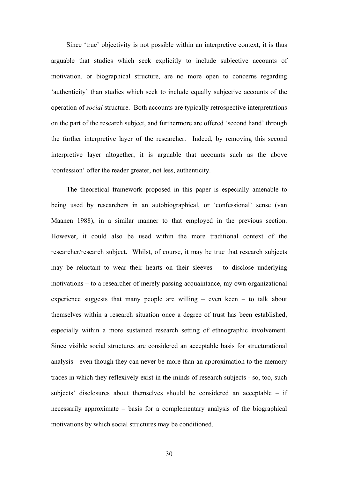Since 'true' objectivity is not possible within an interpretive context, it is thus arguable that studies which seek explicitly to include subjective accounts of motivation, or biographical structure, are no more open to concerns regarding 'authenticity' than studies which seek to include equally subjective accounts of the operation of *social* structure. Both accounts are typically retrospective interpretations on the part of the research subject, and furthermore are offered 'second hand' through the further interpretive layer of the researcher. Indeed, by removing this second interpretive layer altogether, it is arguable that accounts such as the above 'confession' offer the reader greater, not less, authenticity.

The theoretical framework proposed in this paper is especially amenable to being used by researchers in an autobiographical, or 'confessional' sense (van Maanen 1988), in a similar manner to that employed in the previous section. However, it could also be used within the more traditional context of the researcher/research subject. Whilst, of course, it may be true that research subjects may be reluctant to wear their hearts on their sleeves – to disclose underlying motivations – to a researcher of merely passing acquaintance, my own organizational experience suggests that many people are willing  $-$  even keen  $-$  to talk about themselves within a research situation once a degree of trust has been established, especially within a more sustained research setting of ethnographic involvement. Since visible social structures are considered an acceptable basis for structurational analysis - even though they can never be more than an approximation to the memory traces in which they reflexively exist in the minds of research subjects - so, too, such subjects' disclosures about themselves should be considered an acceptable – if necessarily approximate – basis for a complementary analysis of the biographical motivations by which social structures may be conditioned.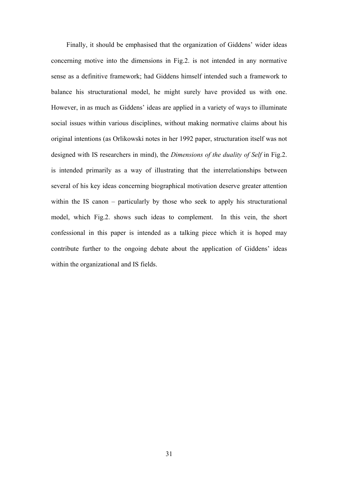Finally, it should be emphasised that the organization of Giddens' wider ideas concerning motive into the dimensions in Fig.2. is not intended in any normative sense as a definitive framework; had Giddens himself intended such a framework to balance his structurational model, he might surely have provided us with one. However, in as much as Giddens' ideas are applied in a variety of ways to illuminate social issues within various disciplines, without making normative claims about his original intentions (as Orlikowski notes in her 1992 paper, structuration itself was not designed with IS researchers in mind), the *Dimensions of the duality of Self* in Fig.2. is intended primarily as a way of illustrating that the interrelationships between several of his key ideas concerning biographical motivation deserve greater attention within the IS canon – particularly by those who seek to apply his structurational model, which Fig.2. shows such ideas to complement. In this vein, the short confessional in this paper is intended as a talking piece which it is hoped may contribute further to the ongoing debate about the application of Giddens' ideas within the organizational and IS fields.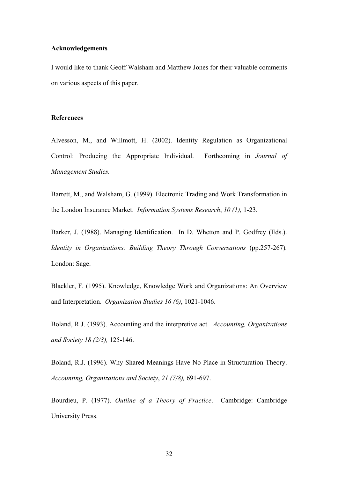#### **Acknowledgements**

I would like to thank Geoff Walsham and Matthew Jones for their valuable comments on various aspects of this paper.

#### **References**

Alvesson, M., and Willmott, H. (2002). Identity Regulation as Organizational Control: Producing the Appropriate Individual. Forthcoming in *Journal of Management Studies.*

Barrett, M., and Walsham, G. (1999). Electronic Trading and Work Transformation in the London Insurance Market. *Information Systems Research*, *10 (1),* 1-23.

Barker, J. (1988). Managing Identification. In D. Whetton and P. Godfrey (Eds.). *Identity in Organizations: Building Theory Through Conversations* (pp.257-267)*.*  London: Sage.

Blackler, F. (1995). Knowledge, Knowledge Work and Organizations: An Overview and Interpretation. *Organization Studies 16 (6)*, 1021-1046.

Boland, R.J. (1993). Accounting and the interpretive act. *Accounting, Organizations and Society 18 (2/3),* 125-146.

Boland, R.J. (1996). Why Shared Meanings Have No Place in Structuration Theory. *Accounting, Organizations and Society*, *21 (7/8),* 691-697.

Bourdieu, P. (1977). *Outline of a Theory of Practice*. Cambridge: Cambridge University Press.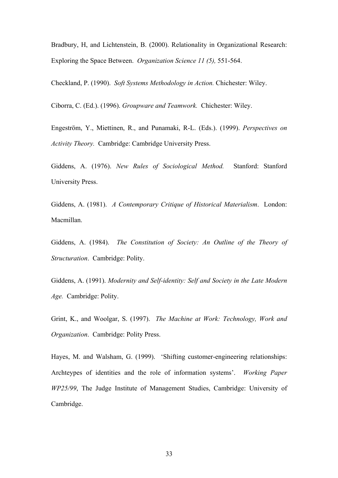Bradbury, H, and Lichtenstein, B. (2000). Relationality in Organizational Research: Exploring the Space Between. *Organization Science 11 (5),* 551-564.

Checkland, P. (1990). *Soft Systems Methodology in Action.* Chichester: Wiley.

Ciborra, C. (Ed.). (1996). *Groupware and Teamwork.* Chichester: Wiley.

Engeström, Y., Miettinen, R., and Punamaki, R-L. (Eds.). (1999). *Perspectives on Activity Theory.* Cambridge: Cambridge University Press.

Giddens, A. (1976). *New Rules of Sociological Method.* Stanford: Stanford University Press.

Giddens, A. (1981). *A Contemporary Critique of Historical Materialism*. London: Macmillan.

Giddens, A. (1984). *The Constitution of Society: An Outline of the Theory of Structuration*. Cambridge: Polity.

Giddens, A. (1991). *Modernity and Self-identity: Self and Society in the Late Modern Age.* Cambridge: Polity.

Grint, K., and Woolgar, S. (1997). *The Machine at Work: Technology, Work and Organization*. Cambridge: Polity Press.

Hayes, M. and Walsham, G. (1999). 'Shifting customer-engineering relationships: Archteypes of identities and the role of information systems'. *Working Paper WP25/99*, The Judge Institute of Management Studies, Cambridge: University of Cambridge.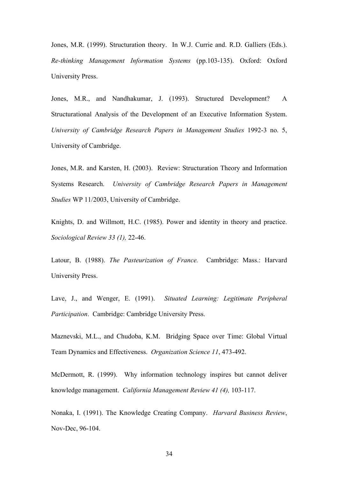Jones, M.R. (1999). Structuration theory. In W.J. Currie and. R.D. Galliers (Eds.). *Re-thinking Management Information Systems* (pp.103-135). Oxford: Oxford University Press.

Jones, M.R., and Nandhakumar, J. (1993). Structured Development? A Structurational Analysis of the Development of an Executive Information System. *University of Cambridge Research Papers in Management Studies* 1992-3 no. 5, University of Cambridge.

Jones, M.R. and Karsten, H. (2003). Review: Structuration Theory and Information Systems Research. *University of Cambridge Research Papers in Management Studies* WP 11/2003, University of Cambridge.

Knights, D. and Willmott, H.C. (1985). Power and identity in theory and practice. *Sociological Review 33 (1),* 22-46.

Latour, B. (1988). *The Pasteurization of France.* Cambridge: Mass.: Harvard University Press.

Lave, J., and Wenger, E. (1991). *Situated Learning: Legitimate Peripheral Participation*. Cambridge: Cambridge University Press.

Maznevski, M.L., and Chudoba, K.M. Bridging Space over Time: Global Virtual Team Dynamics and Effectiveness. *Organization Science 11*, 473-492.

McDermott, R. (1999). Why information technology inspires but cannot deliver knowledge management. *California Management Review 41 (4),* 103-117.

Nonaka, I. (1991). The Knowledge Creating Company. *Harvard Business Review*, Nov-Dec, 96-104.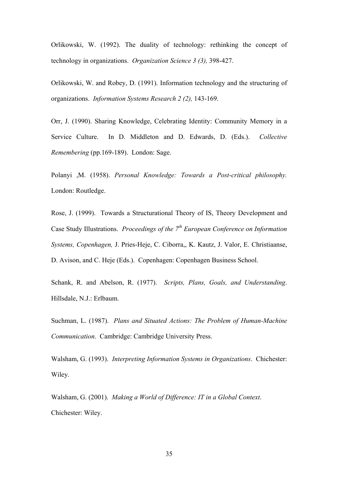Orlikowski, W. (1992). The duality of technology: rethinking the concept of technology in organizations. *Organization Science 3 (3),* 398-427.

Orlikowski, W. and Robey, D. (1991). Information technology and the structuring of organizations. *Information Systems Research 2 (2),* 143-169.

Orr, J. (1990). Sharing Knowledge, Celebrating Identity: Community Memory in a Service Culture. In D. Middleton and D. Edwards, D. (Eds.). *Collective Remembering* (pp.169-189). London: Sage.

Polanyi ,M. (1958). *Personal Knowledge: Towards a Post-critical philosophy.*  London: Routledge.

Rose, J. (1999). Towards a Structurational Theory of IS, Theory Development and Case Study Illustrations. *Proceedings of the 7th European Conference on Information Systems, Copenhagen,* J. Pries-Heje, C. Ciborra,, K. Kautz, J. Valor, E. Christiaanse, D. Avison, and C. Heje (Eds.). Copenhagen: Copenhagen Business School.

Schank, R. and Abelson, R. (1977). *Scripts, Plans, Goals, and Understanding*. Hillsdale, N.J.: Erlbaum.

Suchman, L. (1987). *Plans and Situated Actions: The Problem of Human-Machine Communication*. Cambridge: Cambridge University Press.

Walsham, G. (1993). *Interpreting Information Systems in Organizations*. Chichester: Wiley.

Walsham, G. (2001). *Making a World of Difference: IT in a Global Context*. Chichester: Wiley.